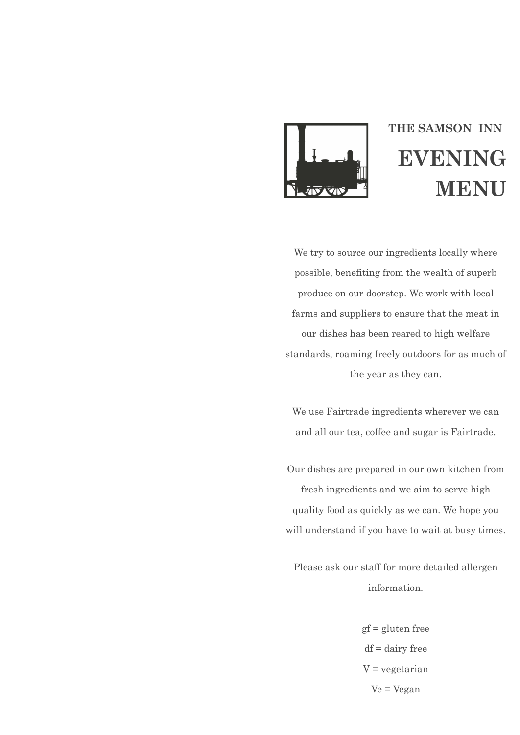

# **THE SAMSON INN EVENING MENU**

We try to source our ingredients locally where possible, benefiting from the wealth of superb produce on our doorstep. We work with local farms and suppliers to ensure that the meat in our dishes has been reared to high welfare standards, roaming freely outdoors for as much of the year as they can.

We use Fairtrade ingredients wherever we can and all our tea, coffee and sugar is Fairtrade.

Our dishes are prepared in our own kitchen from fresh ingredients and we aim to serve high quality food as quickly as we can. We hope you will understand if you have to wait at busy times.

Please ask our staff for more detailed allergen information.

> gf = gluten free  $df = dairy$  free  $V = v$ egetarian Ve = Vegan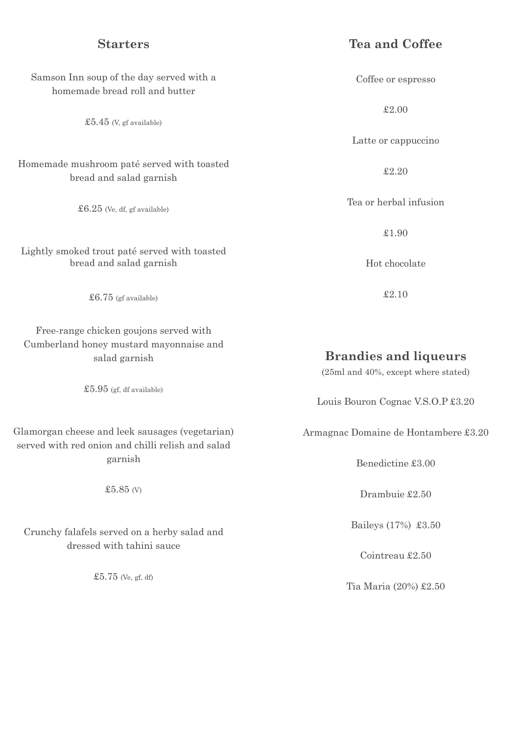## **Starters**

# **Tea and Coffee**

| Samson Inn soup of the day served with a<br>homemade bread roll and butter                           | Coffee or espresso                                                  |
|------------------------------------------------------------------------------------------------------|---------------------------------------------------------------------|
| £5.45 (V, gf available)                                                                              | £2.00                                                               |
|                                                                                                      | Latte or cappuccino                                                 |
| Homemade mushroom paté served with toasted<br>bread and salad garnish                                | £2.20                                                               |
| $$6.25$ (Ve, df, gf available)                                                                       | Tea or herbal infusion                                              |
|                                                                                                      | £1.90                                                               |
| Lightly smoked trout paté served with toasted<br>bread and salad garnish                             | Hot chocolate                                                       |
| $$6.75$ (gf available)                                                                               | £2.10                                                               |
| Free-range chicken goujons served with<br>Cumberland honey mustard mayonnaise and<br>salad garnish   | <b>Brandies and liqueurs</b><br>(25ml and 40%, except where stated) |
| $$5.95$ (gf, df available)                                                                           | Louis Bouron Cognac V.S.O.P £3.20                                   |
| Glamorgan cheese and leek sausages (vegetarian)<br>served with red onion and chilli relish and salad | Armagnac Domaine de Hontambere £3.20                                |
| garnish                                                                                              | Benedictine £3.00                                                   |
| £5.85 $(V)$                                                                                          | Drambuie £2.50                                                      |
| Crunchy falafels served on a herby salad and<br>dressed with tahini sauce                            | Baileys (17%) £3.50                                                 |
|                                                                                                      | Cointreau £2.50                                                     |
| $$5.75$ (Ve, gf, df)                                                                                 | Tia Maria (20%) £2.50                                               |
|                                                                                                      |                                                                     |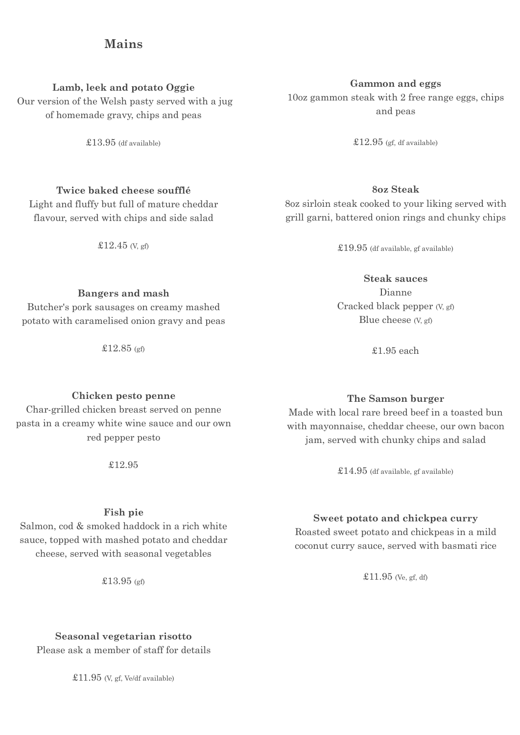### **Mains**

#### **Lamb, leek and potato Oggie**

Our version of the Welsh pasty served with a jug of homemade gravy, chips and peas

£13.95 (df available)

#### **Twice baked cheese soufflé**

Light and fluffy but full of mature cheddar flavour, served with chips and side salad

 $£12.45$  (V, gf)

#### **Bangers and mash**

Butcher's pork sausages on creamy mashed potato with caramelised onion gravy and peas

£12.85 (gf)

#### **Chicken pesto penne**

Char-grilled chicken breast served on penne pasta in a creamy white wine sauce and our own red pepper pesto

£12.95

#### **Fish pie**

Salmon, cod & smoked haddock in a rich white sauce, topped with mashed potato and cheddar cheese, served with seasonal vegetables

£13.95 (gf)

**Seasonal vegetarian risotto** Please ask a member of staff for details

 $£11.95$  (V, gf, Ve/df available)

#### **Gammon and eggs**

10oz gammon steak with 2 free range eggs, chips and peas

 $£12.95$  (ef. df available)

#### **8oz Steak**

8oz sirloin steak cooked to your liking served with grill garni, battered onion rings and chunky chips

£19.95 (df available, gf available)

#### **Steak sauces**

Dianne Cracked black pepper (V, gf) Blue cheese (V, gf)

£1.95 each

#### **The Samson burger**

Made with local rare breed beef in a toasted bun with mayonnaise, cheddar cheese, our own bacon jam, served with chunky chips and salad

 $\pounds14.95$  (df available, gf available)

#### **Sweet potato and chickpea curry**

Roasted sweet potato and chickpeas in a mild coconut curry sauce, served with basmati rice

£11.95 (Ve, gf, df)